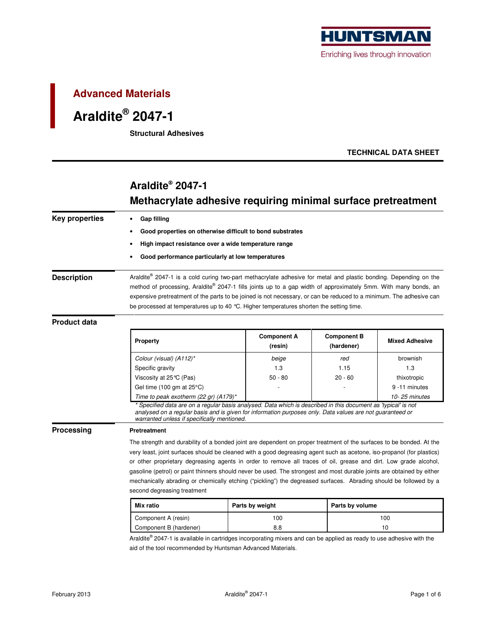

## **Advanced Materials**

# **Araldite® 2047-1**

**Structural Adhesives** 

### **TECHNICAL DATA SHEET**

# **Araldite® 2047-1 Methacrylate adhesive requiring minimal surface pretreatment**

| <b>Key properties</b> | <b>Gap filling</b>                                                                                                                                                                                                          |                    |                    |                       |  |  |  |
|-----------------------|-----------------------------------------------------------------------------------------------------------------------------------------------------------------------------------------------------------------------------|--------------------|--------------------|-----------------------|--|--|--|
|                       | Good properties on otherwise difficult to bond substrates<br>High impact resistance over a wide temperature range                                                                                                           |                    |                    |                       |  |  |  |
|                       |                                                                                                                                                                                                                             |                    |                    |                       |  |  |  |
|                       | Good performance particularly at low temperatures                                                                                                                                                                           |                    |                    |                       |  |  |  |
|                       |                                                                                                                                                                                                                             |                    |                    |                       |  |  |  |
| <b>Description</b>    | Araldite® 2047-1 is a cold curing two-part methacrylate adhesive for metal and plastic bonding. Depending on the                                                                                                            |                    |                    |                       |  |  |  |
|                       | method of processing, Araldite® 2047-1 fills joints up to a gap width of approximately 5mm. With many bonds, an                                                                                                             |                    |                    |                       |  |  |  |
|                       | expensive pretreatment of the parts to be joined is not necessary, or can be reduced to a minimum. The adhesive can                                                                                                         |                    |                    |                       |  |  |  |
|                       | be processed at temperatures up to 40 °C. Higher temperatures shorten the setting time.                                                                                                                                     |                    |                    |                       |  |  |  |
| <b>Product data</b>   |                                                                                                                                                                                                                             |                    |                    |                       |  |  |  |
|                       |                                                                                                                                                                                                                             | <b>Component A</b> | <b>Component B</b> |                       |  |  |  |
|                       | Property                                                                                                                                                                                                                    | (resin)            | (hardener)         | <b>Mixed Adhesive</b> |  |  |  |
|                       | Colour (visual) (A112)*                                                                                                                                                                                                     | beige              | red                | brownish              |  |  |  |
|                       | Specific gravity                                                                                                                                                                                                            | 1.3                | 1.15               | 1.3                   |  |  |  |
|                       | Viscosity at 25℃ (Pas)                                                                                                                                                                                                      | $50 - 80$          | $20 - 60$          | thixotropic           |  |  |  |
|                       | Gel time (100 gm at $25^{\circ}$ C)                                                                                                                                                                                         |                    |                    | 9-11 minutes          |  |  |  |
|                       | Time to peak exotherm (22 gr) (A179)*                                                                                                                                                                                       |                    |                    | 10-25 minutes         |  |  |  |
|                       | * Specified data are on a regular basis analysed. Data which is described in this document as 'typical' is not<br>analysed on a regular basis and is given for information purposes only. Data values are not guaranteed or |                    |                    |                       |  |  |  |
|                       | warranted unless if specifically mentioned.                                                                                                                                                                                 |                    |                    |                       |  |  |  |
| Processing            | <b>Pretreatment</b>                                                                                                                                                                                                         |                    |                    |                       |  |  |  |
|                       | The strength and durability of a bonded joint are dependent on proper treatment of the surfaces to be bonded. At the                                                                                                        |                    |                    |                       |  |  |  |
|                       | very least, joint surfaces should be cleaned with a good degreasing agent such as acetone, iso-propanol (for plastics)                                                                                                      |                    |                    |                       |  |  |  |
|                       | or other proprietary degreasing agents in order to remove all traces of oil, grease and dirt. Low grade alcohol,                                                                                                            |                    |                    |                       |  |  |  |
|                       | gasoline (petrol) or paint thinners should never be used. The strongest and most durable joints are obtained by either                                                                                                      |                    |                    |                       |  |  |  |
|                       | mechanically abrading or chemically etching ("pickling") the degreased surfaces. Abrading should be followed by a                                                                                                           |                    |                    |                       |  |  |  |
|                       | second degreasing treatment                                                                                                                                                                                                 |                    |                    |                       |  |  |  |
|                       | Mix ratio                                                                                                                                                                                                                   | Parts by weight    |                    | Parts by volume       |  |  |  |
|                       | Component A (resin)                                                                                                                                                                                                         | 100                |                    | 100                   |  |  |  |

Araldite® 2047-1 is available in cartridges incorporating mixers and can be applied as ready to use adhesive with the aid of the tool recommended by Huntsman Advanced Materials.

Component B (hardener) 10 8.8 10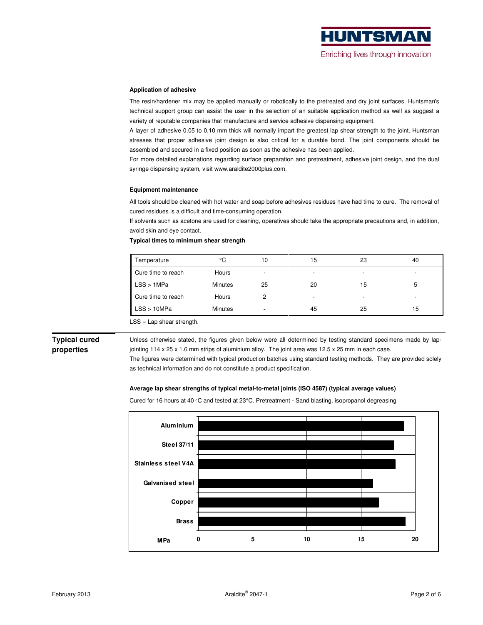

### **Application of adhesive**

The resin/hardener mix may be applied manually or robotically to the pretreated and dry joint surfaces. Huntsman's technical support group can assist the user in the selection of an suitable application method as well as suggest a variety of reputable companies that manufacture and service adhesive dispensing equipment.

A layer of adhesive 0.05 to 0.10 mm thick will normally impart the greatest lap shear strength to the joint. Huntsman stresses that proper adhesive joint design is also critical for a durable bond. The joint components should be assembled and secured in a fixed position as soon as the adhesive has been applied.

For more detailed explanations regarding surface preparation and pretreatment, adhesive joint design, and the dual syringe dispensing system, visit www.araldite2000plus.com.

### **Equipment maintenance**

All tools should be cleaned with hot water and soap before adhesives residues have had time to cure. The removal of cured residues is a difficult and time-consuming operation.

If solvents such as acetone are used for cleaning, operatives should take the appropriate precautions and, in addition, avoid skin and eye contact.

### **Typical times to minimum shear strength**

| Temperature        | °C      | 10 | 15                       | 23                       | 40                       |
|--------------------|---------|----|--------------------------|--------------------------|--------------------------|
| Cure time to reach | Hours   | -  | $\overline{\phantom{0}}$ | $\overline{\phantom{0}}$ | $\overline{\phantom{a}}$ |
| LSS > 1MPa         | Minutes | 25 | 20                       | 15                       | ა                        |
| Cure time to reach | Hours   |    | $\overline{\phantom{0}}$ |                          | $\overline{\phantom{a}}$ |
| LSS > 10MPa        | Minutes |    | 45                       | 25                       | 15                       |

LSS = Lap shear strength.

## **Typical cured properties**

Unless otherwise stated, the figures given below were all determined by testing standard specimens made by lapjointing 114 x 25 x 1.6 mm strips of aluminium alloy. The joint area was 12.5 x 25 mm in each case.

The figures were determined with typical production batches using standard testing methods. They are provided solely as technical information and do not constitute a product specification.

### **Average lap shear strengths of typical metal-to-metal joints (ISO 4587) (typical average values)**

Cured for 16 hours at 40°C and tested at 23°C. Pretreatment - Sand blasting, isopropanol degreasing

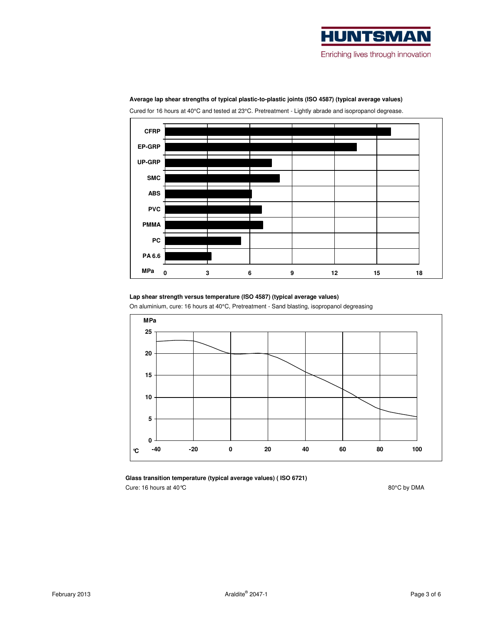



**Average lap shear strengths of typical plastic-to-plastic joints (ISO 4587) (typical average values)** 

Cured for 16 hours at 40°C and tested at 23°C. Pretreatment - Lightly abrade and isopropanol degrease.

**Lap shear strength versus temperature (ISO 4587) (typical average values)** 

On aluminium, cure: 16 hours at 40°C, Pretreatment - Sand blasting, isopropanol degreasing



**Glass transition temperature (typical average values) ( ISO 6721)**  Cure: 16 hours at 40 °C  $80^{\circ}$ C by DMA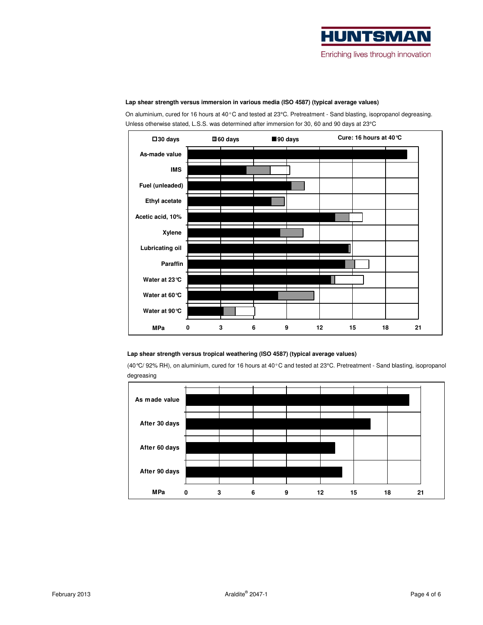

# **0 3 6 9 12 15 18 21 As-made value IMS Fuel (unleaded) Ethyl acetate Acetic acid, 10% Xylene Lubricating oil Paraffin Water at 23°C Water at 60°C Water at 90°C 30 days 60 days 90 days MPa Cure: 16 hours at 40°C**

### **Lap shear strength versus immersion in various media (ISO 4587) (typical average values)**

On aluminium, cured for 16 hours at 40°C and tested at 23°C. Pretreatment - Sand blasting, isopropanol degreasing. Unless otherwise stated, L.S.S. was determined after immersion for 30, 60 and 90 days at 23°C

### **Lap shear strength versus tropical weathering (ISO 4587) (typical average values)**

(40°C/ 92% RH), on aluminium, cured for 16 hours at 40°C and tested at 23°C. Pretreatment - Sand blasting, isopropanol degreasing

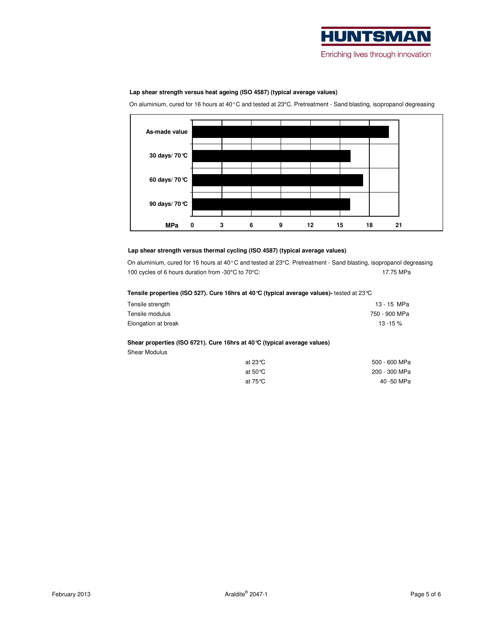

### **Lap shear strength versus heat ageing (ISO 4587) (typical average values)**

On aluminium, cured for 16 hours at 40°C and tested at 23°C. Pretreatment - Sand blasting, isopropanol degreasing



### **Lap shear strength versus thermal cycling (ISO 4587) (typical average values)**

On aluminium, cured for 16 hours at 40°C and tested at 23°C. Pretreatment - Sand blasting, isopropanol degreasing 100 cycles of 6 hours duration from -30°C to 70°C: 17.75 MPa

#### **Tensile properties (ISO 527). Cure 16hrs at 40°C (typical average values)-** tested at 23°C

| Tensile strength    | 13 - 15 MPa   |
|---------------------|---------------|
| Tensile modulus     | 750 - 900 MPa |
| Elongation at break | $13 - 15%$    |

### **Shear properties (ISO 6721). Cure 16hrs at 40°C (typical average values)**

Shear Modulus

| 500 - 600 MPa | at 23℃             |
|---------------|--------------------|
| 200 - 300 MPa | at 50 $^{\circ}$ C |
| 40 -50 MPa    | at 75℃             |
|               |                    |